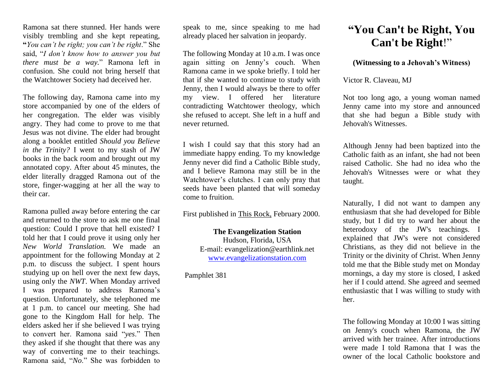Ramona sat there stunned. Her hands were visibly trembling and she kept repeating, **"***You can't be right; you can't be right*." She said, "*I don't know how to answer you but there must be a way.*" Ramona left in confusion. She could not bring herself that the Watchtower Society had deceived her.

The following day, Ramona came into my store accompanied by one of the elders of her congregation. The elder was visibly angry. They had come to prove to me that Jesus was not divine. The elder had brought along a booklet entitled *Should you Believe in the Trinity?* I went to my stash of JW books in the back room and brought out my annotated copy. After about 45 minutes, the elder literally dragged Ramona out of the store, finger-wagging at her all the way to their car.

Ramona pulled away before entering the car and returned to the store to ask me one final question: Could I prove that hell existed? I told her that I could prove it using only her *New World Translation.* We made an appointment for the following Monday at 2 p.m. to discuss the subject. I spent hours studying up on hell over the next few days, using only the *NWT*. When Monday arrived I was prepared to address Ramona's question. Unfortunately, she telephoned me at 1 p.m. to cancel our meeting. She had gone to the Kingdom Hall for help. The elders asked her if she believed I was trying to convert her. Ramona said "*yes*." Then they asked if she thought that there was any way of converting me to their teachings. Ramona said, "*No*." She was forbidden to

speak to me, since speaking to me had already placed her salvation in jeopardy.

The following Monday at 10 a.m. I was once again sitting on Jenny's couch. When Ramona came in we spoke briefly. I told her that if she wanted to continue to study with Jenny, then I would always be there to offer my view. I offered her literature contradicting Watchtower theology, which she refused to accept. She left in a huff and never returned.

I wish I could say that this story had an immediate happy ending. To my knowledge Jenny never did find a Catholic Bible study, and I believe Ramona may still be in the Watchtower's clutches. I can only pray that seeds have been planted that will someday come to fruition.

First published in This Rock, February 2000.

**The Evangelization Station**  Hudson, Florida, USA E-mail: evangelization@earthlink.net [www.evangelizationstation.com](http://www.pjpiisoe.org/)

Pamphlet 381

## **"You Can't be Right, You Can't be Right**!"

## **(Witnessing to a Jehovah's Witness)**

Victor R. Claveau, MJ

Not too long ago, a young woman named Jenny came into my store and announced that she had begun a Bible study with Jehovah's Witnesses.

Although Jenny had been baptized into the Catholic faith as an infant, she had not been raised Catholic. She had no idea who the Jehovah's Witnesses were or what they taught.

Naturally, I did not want to dampen any enthusiasm that she had developed for Bible study, but I did try to ward her about the heterodoxy of the JW's teachings. I explained that JW's were not considered Christians, as they did not believe in the Trinity or the divinity of Christ. When Jenny told me that the Bible study met on Monday mornings, a day my store is closed, I asked her if I could attend. She agreed and seemed enthusiastic that I was willing to study with her.

The following Monday at 10:00 I was sitting on Jenny's couch when Ramona, the JW arrived with her trainee. After introductions were made I told Ramona that I was the owner of the local Catholic bookstore and